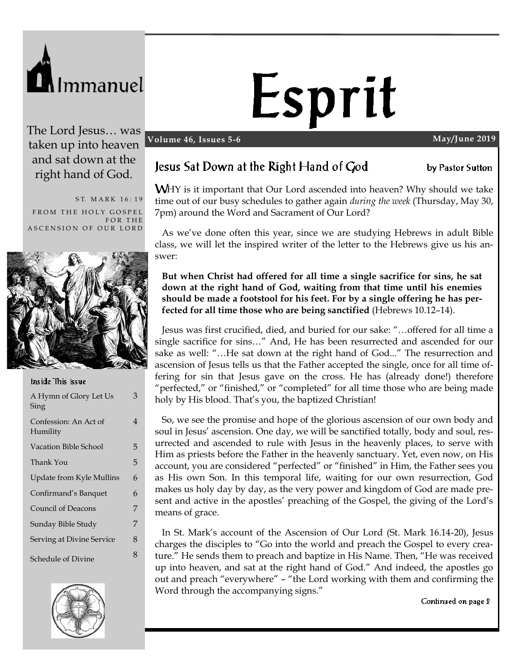

# Esprit

#### **Volume 46, Issues 5-6 May/June 2019**

The Lord Jesus… was taken up into heaven and sat down at the right hand of God.

ST. MARK 16:19 FROM THE HOLY GOSPEL FOR THE ASCENSION OF OUR LORD



#### Inside This Issue

| A Hymn of Glory Let Us<br>Sing    | 3 |
|-----------------------------------|---|
| Confession: An Act of<br>Humility | 4 |
| <b>Vacation Bible School</b>      | 5 |
| Thank You                         | 5 |
| Update from Kyle Mullins          | 6 |
| Confirmand's Banquet              | 6 |
| Council of Deacons                | 7 |
| Sunday Bible Study                | 7 |
| Serving at Divine Service         | 8 |
| Schedule of Divine                | 8 |



# Jesus Sat Down at the Right Hand of God

by Pastor Sutton

**WHY** is it important that Our Lord ascended into heaven? Why should we take time out of our busy schedules to gather again *during the week* (Thursday, May 30, 7pm) around the Word and Sacrament of Our Lord?

As we've done often this year, since we are studying Hebrews in adult Bible class, we will let the inspired writer of the letter to the Hebrews give us his answer:

**But when Christ had offered for all time a single sacrifice for sins, he sat down at the right hand of God, waiting from that time until his enemies should be made a footstool for his feet. For by a single offering he has perfected for all time those who are being sanctified** (Hebrews 10.12–14).

Jesus was first crucified, died, and buried for our sake: "…offered for all time a single sacrifice for sins…" And, He has been resurrected and ascended for our sake as well: "…He sat down at the right hand of God..." The resurrection and ascension of Jesus tells us that the Father accepted the single, once for all time offering for sin that Jesus gave on the cross. He has (already done!) therefore "perfected," or "finished," or "completed" for all time those who are being made holy by His blood. That's you, the baptized Christian!

So, we see the promise and hope of the glorious ascension of our own body and soul in Jesus' ascension. One day, we will be sanctified totally, body and soul, resurrected and ascended to rule with Jesus in the heavenly places, to serve with Him as priests before the Father in the heavenly sanctuary. Yet, even now, on His account, you are considered "perfected" or "finished" in Him, the Father sees you as His own Son. In this temporal life, waiting for our own resurrection, God makes us holy day by day, as the very power and kingdom of God are made present and active in the apostles' preaching of the Gospel, the giving of the Lord's means of grace.

In St. Mark's account of the Ascension of Our Lord (St. Mark 16.14-20), Jesus charges the disciples to "Go into the world and preach the Gospel to every creature." He sends them to preach and baptize in His Name. Then, "He was received up into heaven, and sat at the right hand of God." And indeed, the apostles go out and preach "everywhere" – "the Lord working with them and confirming the Word through the accompanying signs."

Continued on page 2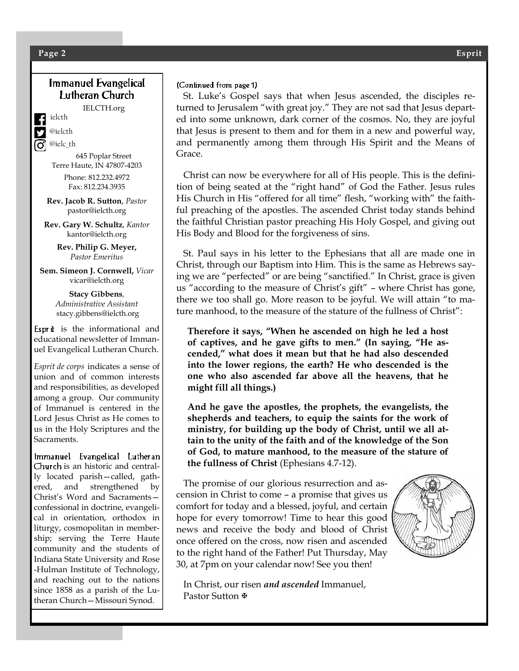### Immanuel Evangelical Lutheran Church

IELCTH.org

ielcth

@ielcth

@ielc\_th 645 Poplar Street Terre Haute, IN 47807-4203

> Phone: 812.232.4972 Fax: 812.234.3935

**Rev. Jacob R. Sutton**, *Pastor* pastor@ielcth.org

**Rev. Gary W. Schultz**, *Kantor* kantor@ielcth.org

> **Rev. Philip G. Meyer,** *Pastor Emeritus*

**Sem. Simeon J. Cornwell,** *Vicar* vicar@ielcth.org

> **Stacy Gibbens***, Administrative Assistant* stacy.gibbens@ielcth.org

Esprit is the informational and educational newsletter of Immanuel Evangelical Lutheran Church.

*Esprit de corps* indicates a sense of union and of common interests and responsibilities, as developed among a group. Our community of Immanuel is centered in the Lord Jesus Christ as He comes to us in the Holy Scriptures and the Sacraments.

Immanuel Evangelical Lutheran Church is an historic and centrally located parish—called, gathered, and strengthened by Christ's Word and Sacraments confessional in doctrine, evangelical in orientation, orthodox in liturgy, cosmopolitan in membership; serving the Terre Haute community and the students of Indiana State University and Rose -Hulman Institute of Technology, and reaching out to the nations since 1858 as a parish of the Lutheran Church—Missouri Synod.

#### (Continued from page 1)

 St. Luke's Gospel says that when Jesus ascended, the disciples returned to Jerusalem "with great joy." They are not sad that Jesus departed into some unknown, dark corner of the cosmos. No, they are joyful that Jesus is present to them and for them in a new and powerful way, and permanently among them through His Spirit and the Means of Grace.

 Christ can now be everywhere for all of His people. This is the definition of being seated at the "right hand" of God the Father. Jesus rules His Church in His "offered for all time" flesh, "working with" the faithful preaching of the apostles. The ascended Christ today stands behind the faithful Christian pastor preaching His Holy Gospel, and giving out His Body and Blood for the forgiveness of sins.

 St. Paul says in his letter to the Ephesians that all are made one in Christ, through our Baptism into Him. This is the same as Hebrews saying we are "perfected" or are being "sanctified." In Christ, grace is given us "according to the measure of Christ's gift" – where Christ has gone, there we too shall go. More reason to be joyful. We will attain "to mature manhood, to the measure of the stature of the fullness of Christ":

**Therefore it says, "When he ascended on high he led a host of captives, and he gave gifts to men." (In saying, "He ascended," what does it mean but that he had also descended into the lower regions, the earth? He who descended is the one who also ascended far above all the heavens, that he might fill all things.)** 

**And he gave the apostles, the prophets, the evangelists, the shepherds and teachers, to equip the saints for the work of ministry, for building up the body of Christ, until we all attain to the unity of the faith and of the knowledge of the Son of God, to mature manhood, to the measure of the stature of the fullness of Christ** (Ephesians 4.7-12).

 The promise of our glorious resurrection and ascension in Christ to come – a promise that gives us comfort for today and a blessed, joyful, and certain hope for every tomorrow! Time to hear this good news and receive the body and blood of Christ once offered on the cross, now risen and ascended to the right hand of the Father! Put Thursday, May 30, at 7pm on your calendar now! See you then!



 In Christ, our risen *and ascended* Immanuel, Pastor Sutton **®**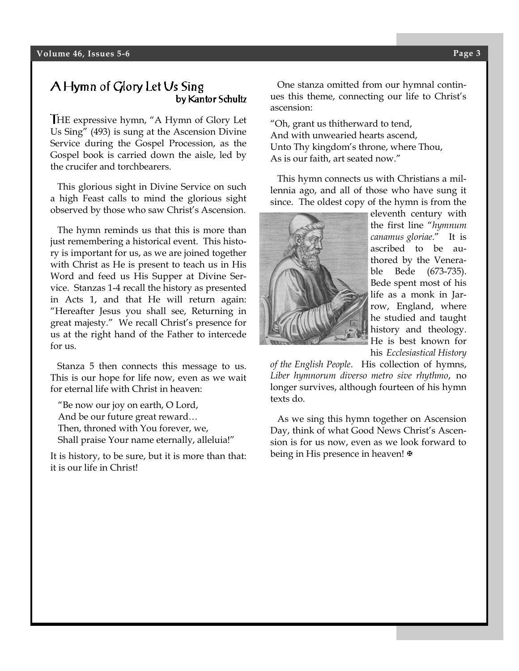## A Hymn of Glory Let Us Sing by Kantor Schultz

HE expressive hymn, "A Hymn of Glory Let Us Sing" (493) is sung at the Ascension Divine Service during the Gospel Procession, as the Gospel book is carried down the aisle, led by the crucifer and torchbearers.

 This glorious sight in Divine Service on such a high Feast calls to mind the glorious sight observed by those who saw Christ's Ascension.

 The hymn reminds us that this is more than just remembering a historical event. This history is important for us, as we are joined together with Christ as He is present to teach us in His Word and feed us His Supper at Divine Service. Stanzas 1-4 recall the history as presented in Acts 1, and that He will return again: "Hereafter Jesus you shall see, Returning in great majesty." We recall Christ's presence for us at the right hand of the Father to intercede for us.

 Stanza 5 then connects this message to us. This is our hope for life now, even as we wait for eternal life with Christ in heaven:

"Be now our joy on earth, O Lord, And be our future great reward… Then, throned with You forever, we, Shall praise Your name eternally, alleluia!"

It is history, to be sure, but it is more than that: it is our life in Christ!

 One stanza omitted from our hymnal continues this theme, connecting our life to Christ's ascension:

"Oh, grant us thitherward to tend, And with unwearied hearts ascend, Unto Thy kingdom's throne, where Thou, As is our faith, art seated now."

 This hymn connects us with Christians a millennia ago, and all of those who have sung it since. The oldest copy of the hymn is from the



eleventh century with the first line "*hymnum canamus gloriae*." It is ascribed to be authored by the Venerable Bede (673-735). Bede spent most of his life as a monk in Jarrow, England, where he studied and taught history and theology. He is best known for his *Ecclesiastical History* 

*of the English People*. His collection of hymns, *Liber hymnorum diverso metro sive rhythmo*, no longer survives, although fourteen of his hymn texts do.

 As we sing this hymn together on Ascension Day, think of what Good News Christ's Ascension is for us now, even as we look forward to being in His presence in heaven!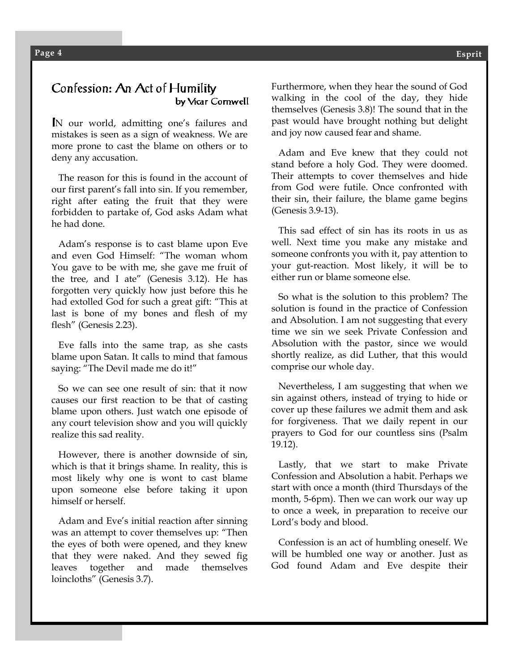#### Confession: An Act of Humility by Vicar Cornwell

N our world, admitting one's failures and mistakes is seen as a sign of weakness. We are more prone to cast the blame on others or to deny any accusation.

 The reason for this is found in the account of our first parent's fall into sin. If you remember, right after eating the fruit that they were forbidden to partake of, God asks Adam what he had done.

 Adam's response is to cast blame upon Eve and even God Himself: "The woman whom You gave to be with me, she gave me fruit of the tree, and I ate" (Genesis 3.12). He has forgotten very quickly how just before this he had extolled God for such a great gift: "This at last is bone of my bones and flesh of my flesh" (Genesis 2.23).

 Eve falls into the same trap, as she casts blame upon Satan. It calls to mind that famous saying: "The Devil made me do it!"

 So we can see one result of sin: that it now causes our first reaction to be that of casting blame upon others. Just watch one episode of any court television show and you will quickly realize this sad reality.

 However, there is another downside of sin, which is that it brings shame. In reality, this is most likely why one is wont to cast blame upon someone else before taking it upon himself or herself.

 Adam and Eve's initial reaction after sinning was an attempt to cover themselves up: "Then the eyes of both were opened, and they knew that they were naked. And they sewed fig leaves together and made themselves loincloths" (Genesis 3.7).

Furthermore, when they hear the sound of God walking in the cool of the day, they hide themselves (Genesis 3.8)! The sound that in the past would have brought nothing but delight and joy now caused fear and shame.

 Adam and Eve knew that they could not stand before a holy God. They were doomed. Their attempts to cover themselves and hide from God were futile. Once confronted with their sin, their failure, the blame game begins (Genesis 3.9-13).

 This sad effect of sin has its roots in us as well. Next time you make any mistake and someone confronts you with it, pay attention to your gut-reaction. Most likely, it will be to either run or blame someone else.

 So what is the solution to this problem? The solution is found in the practice of Confession and Absolution. I am not suggesting that every time we sin we seek Private Confession and Absolution with the pastor, since we would shortly realize, as did Luther, that this would comprise our whole day.

 Nevertheless, I am suggesting that when we sin against others, instead of trying to hide or cover up these failures we admit them and ask for forgiveness. That we daily repent in our prayers to God for our countless sins (Psalm 19.12).

 Lastly, that we start to make Private Confession and Absolution a habit. Perhaps we start with once a month (third Thursdays of the month, 5-6pm). Then we can work our way up to once a week, in preparation to receive our Lord's body and blood.

 Confession is an act of humbling oneself. We will be humbled one way or another. Just as God found Adam and Eve despite their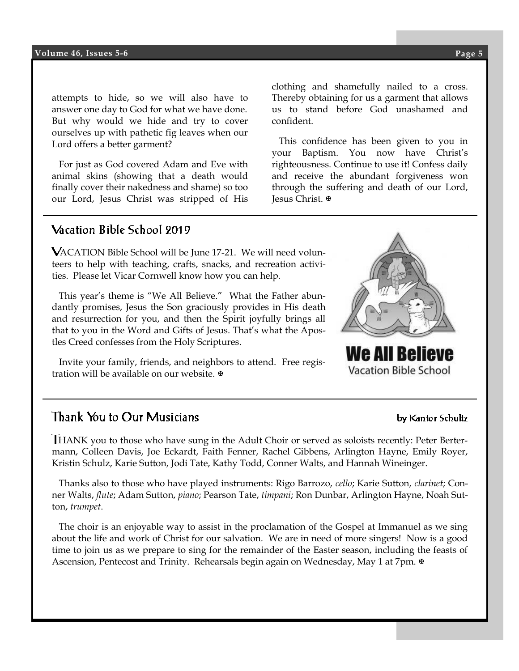attempts to hide, so we will also have to answer one day to God for what we have done. But why would we hide and try to cover ourselves up with pathetic fig leaves when our Lord offers a better garment?

 For just as God covered Adam and Eve with animal skins (showing that a death would finally cover their nakedness and shame) so too our Lord, Jesus Christ was stripped of His

**Esprit** us to stand before God unashamed and clothing and shamefully nailed to a cross. Thereby obtaining for us a garment that allows confident.

 This confidence has been given to you in your Baptism. You now have Christ's righteousness. Continue to use it! Confess daily and receive the abundant forgiveness won through the suffering and death of our Lord, Jesus Christ.

# Vacation Bible School 9019

ACATION Bible School will be June 17-21. We will need volunteers to help with teaching, crafts, snacks, and recreation activities. Please let Vicar Cornwell know how you can help.

 This year's theme is "We All Believe." What the Father abundantly promises, Jesus the Son graciously provides in His death and resurrection for you, and then the Spirit joyfully brings all that to you in the Word and Gifts of Jesus. That's what the Apostles Creed confesses from the Holy Scriptures.

 Invite your family, friends, and neighbors to attend. Free registration will be available on our website. <sup>₩</sup>

# Thank You to Our Musicians

HANK you to those who have sung in the Adult Choir or served as soloists recently: Peter Bertermann, Colleen Davis, Joe Eckardt, Faith Fenner, Rachel Gibbens, Arlington Hayne, Emily Royer, Kristin Schulz, Karie Sutton, Jodi Tate, Kathy Todd, Conner Walts, and Hannah Wineinger.

 Thanks also to those who have played instruments: Rigo Barrozo, *cello*; Karie Sutton, *clarinet*; Conner Walts, *flute*; Adam Sutton, *piano*; Pearson Tate, *timpani*; Ron Dunbar, Arlington Hayne, Noah Sutton, *trumpet*.

 The choir is an enjoyable way to assist in the proclamation of the Gospel at Immanuel as we sing about the life and work of Christ for our salvation. We are in need of more singers! Now is a good time to join us as we prepare to sing for the remainder of the Easter season, including the feasts of Ascension, Pentecost and Trinity. Rehearsals begin again on Wednesday, May 1 at 7pm.  $\blacktriangleright$ 



#### by Kantor Schultz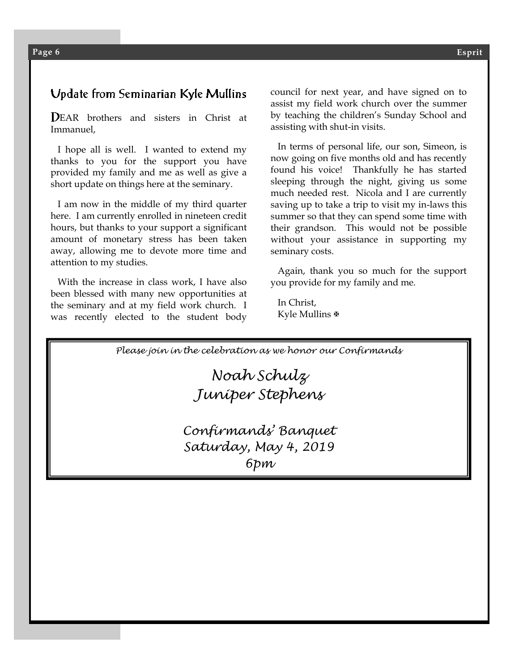# Update from Seminarian Kyle Mullins

EAR brothers and sisters in Christ at Immanuel,

 I hope all is well. I wanted to extend my thanks to you for the support you have provided my family and me as well as give a short update on things here at the seminary.

 I am now in the middle of my third quarter here. I am currently enrolled in nineteen credit hours, but thanks to your support a significant amount of monetary stress has been taken away, allowing me to devote more time and attention to my studies.

 With the increase in class work, I have also been blessed with many new opportunities at the seminary and at my field work church. I was recently elected to the student body council for next year, and have signed on to assist my field work church over the summer by teaching the children's Sunday School and assisting with shut-in visits.

 In terms of personal life, our son, Simeon, is now going on five months old and has recently found his voice! Thankfully he has started sleeping through the night, giving us some much needed rest. Nicola and I are currently saving up to take a trip to visit my in-laws this summer so that they can spend some time with their grandson. This would not be possible without your assistance in supporting my seminary costs.

 Again, thank you so much for the support you provide for my family and me.

 In Christ, Kyle Mullins <sup>®</sup>

*Please join in the celebration as we honor our Confirmands*

*Noah Schulz Juniper Stephens*

*Confirmands' Banquet Saturday, May 4, 2019 6pm*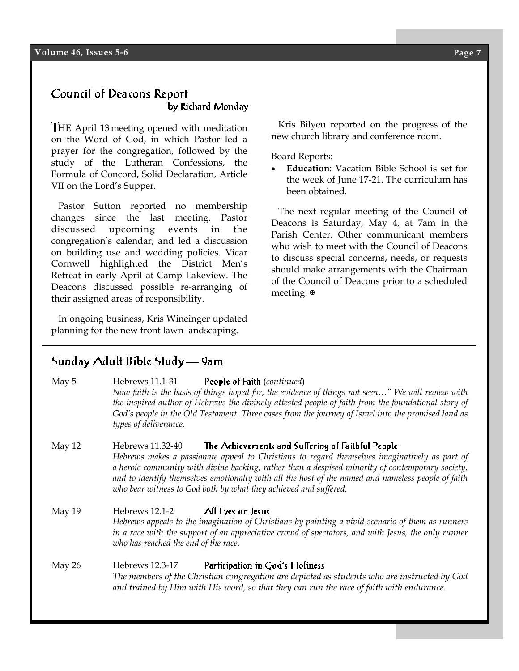### Council of Deacons Report by Richard Monday

HE April 13 meeting opened with meditation on the Word of God, in which Pastor led a prayer for the congregation, followed by the study of the Lutheran Confessions, the Formula of Concord, Solid Declaration, Article VII on the Lord's Supper.

 Pastor Sutton reported no membership changes since the last meeting. Pastor discussed upcoming events in the congregation's calendar, and led a discussion on building use and wedding policies. Vicar Cornwell highlighted the District Men's Retreat in early April at Camp Lakeview. The Deacons discussed possible re-arranging of their assigned areas of responsibility.

 In ongoing business, Kris Wineinger updated planning for the new front lawn landscaping.

#### Kris Bilyeu reported on the progress of the new church library and conference room.

Board Reports:

 **Education**: Vacation Bible School is set for the week of June 17-21. The curriculum has been obtained.

 The next regular meeting of the Council of Deacons is Saturday, May 4, at 7am in the Parish Center. Other communicant members who wish to meet with the Council of Deacons to discuss special concerns, needs, or requests should make arrangements with the Chairman of the Council of Deacons prior to a scheduled meeting.  $\blacktriangleright$ 

# Sunday Adult Bible Study - 9am

| May 5  | Hebrews 11.1-31 People of Faith (continued)<br>Now faith is the basis of things hoped for, the evidence of things not seen" We will review with<br>the inspired author of Hebrews the divinely attested people of faith from the foundational story of<br>God's people in the Old Testament. Three cases from the journey of Israel into the promised land as<br>types of deliverance.                                                               |
|--------|------------------------------------------------------------------------------------------------------------------------------------------------------------------------------------------------------------------------------------------------------------------------------------------------------------------------------------------------------------------------------------------------------------------------------------------------------|
| May 12 | The Achievements and Suffering of Faithful People<br>Hebrews 11.32-40<br>Hebrews makes a passionate appeal to Christians to regard themselves imaginatively as part of<br>a heroic community with divine backing, rather than a despised minority of contemporary society,<br>and to identify themselves emotionally with all the host of the named and nameless people of faith<br>who bear witness to God both by what they achieved and suffered. |
| May 19 | Hebrews 12.1-2 <b>All Eyes on Jesus</b><br>Hebrews appeals to the imagination of Christians by painting a vivid scenario of them as runners<br>in a race with the support of an appreciative crowd of spectators, and with Jesus, the only runner<br>who has reached the end of the race.                                                                                                                                                            |
| May 26 | Hebrews 12.3-17 Participation in God's Holiness<br>The members of the Christian congregation are depicted as students who are instructed by God<br>and trained by Him with His word, so that they can run the race of faith with endurance.                                                                                                                                                                                                          |